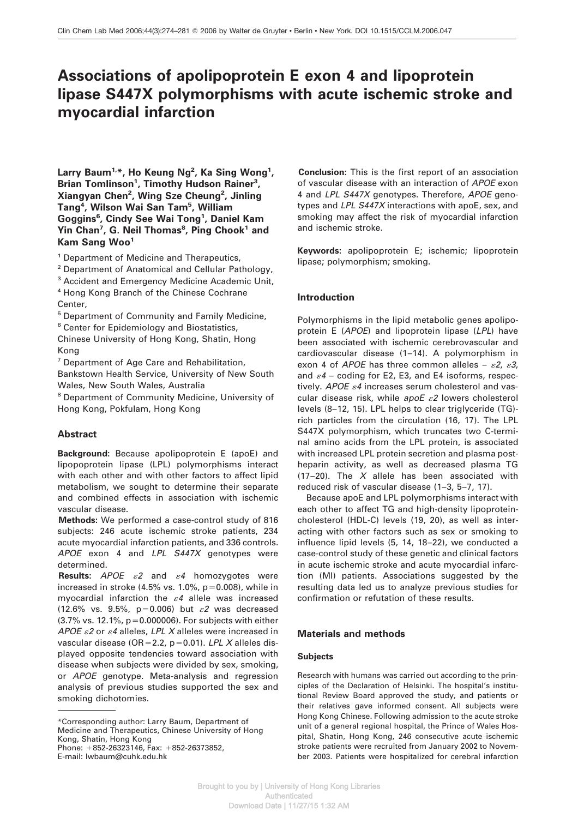# **Associations of apolipoprotein E exon 4 and lipoprotein lipase S447X polymorphisms with acute ischemic stroke and myocardial infarction**

**Larry Baum1,\*, Ho Keung Ng2 , Ka Sing Wong<sup>1</sup> ,** Brian Tomlinson<sup>1</sup>, Timothy Hudson Rainer<sup>3</sup>, **Xiangyan Chen2 , Wing Sze Cheung<sup>2</sup> , Jinling Tang4 , Wilson Wai San Tam5 , William Goggins6 , Cindy See Wai Tong1 , Daniel Kam Yin Chan7 , G. Neil Thomas<sup>8</sup> , Ping Chook<sup>1</sup> and Kam Sang Woo1**

<sup>1</sup> Department of Medicine and Therapeutics,

<sup>2</sup> Department of Anatomical and Cellular Pathology,

<sup>3</sup> Accident and Emergency Medicine Academic Unit,

<sup>4</sup> Hong Kong Branch of the Chinese Cochrane Center,

<sup>5</sup> Department of Community and Family Medicine,

<sup>6</sup> Center for Epidemiology and Biostatistics,

Chinese University of Hong Kong, Shatin, Hong Kong

 $<sup>7</sup>$  Department of Age Care and Rehabilitation,</sup>

Bankstown Health Service, University of New South Wales, New South Wales, Australia

<sup>8</sup> Department of Community Medicine, University of Hong Kong, Pokfulam, Hong Kong

# **Abstract**

**Background:** Because apolipoprotein E (apoE) and lipopoprotein lipase (LPL) polymorphisms interact with each other and with other factors to affect lipid metabolism, we sought to determine their separate and combined effects in association with ischemic vascular disease.

**Methods:** We performed a case-control study of 816 subjects: 246 acute ischemic stroke patients, 234 acute myocardial infarction patients, and 336 controls. APOE exon 4 and LPL S447X genotypes were determined.

**Results:**  $APOE$   $\varepsilon2$  and  $\varepsilon4$  homozygotes were increased in stroke (4.5% vs. 1.0%,  $p=0.008$ ), while in myocardial infarction the  $\varepsilon$ 4 allele was increased (12.6% vs. 9.5%, p=0.006) but  $\varepsilon$ 2 was decreased  $(3.7\% \text{ vs. } 12.1\%, \text{ p} = 0.000006)$ . For subjects with either APOE  $\varepsilon$ 2 or  $\varepsilon$ 4 alleles, LPL X alleles were increased in vascular disease (OR=2.2, p=0.01). LPL X alleles displayed opposite tendencies toward association with disease when subjects were divided by sex, smoking, or APOE genotype. Meta-analysis and regression analysis of previous studies supported the sex and smoking dichotomies.

\*Corresponding author: Larry Baum, Department of Medicine and Therapeutics, Chinese University of Hong Kong, Shatin, Hong Kong

Phone:  $+852-26323146$ , Fax:  $+852-26373852$ , E-mail: lwbaum@cuhk.edu.hk

**Conclusion:** This is the first report of an association of vascular disease with an interaction of APOE exon 4 and LPL S447X genotypes. Therefore, APOE genotypes and LPL S447X interactions with apoE, sex, and smoking may affect the risk of myocardial infarction and ischemic stroke.

**Keywords:** apolipoprotein E; ischemic; lipoprotein lipase; polymorphism; smoking.

## **Introduction**

Polymorphisms in the lipid metabolic genes apolipoprotein E (APOE) and lipoprotein lipase (LPL) have been associated with ischemic cerebrovascular and cardiovascular disease (1–14). A polymorphism in exon 4 of APOE has three common alleles -  $\varepsilon$ 2,  $\varepsilon$ 3, and  $\varepsilon$ 4 – coding for E2, E3, and E4 isoforms, respectively. APOE  $\varepsilon$ 4 increases serum cholesterol and vascular disease risk, while  $apoE \varepsilon2$  lowers cholesterol levels (8–12, 15). LPL helps to clear triglyceride (TG) rich particles from the circulation (16, 17). The LPL S447X polymorphism, which truncates two C-terminal amino acids from the LPL protein, is associated with increased LPL protein secretion and plasma postheparin activity, as well as decreased plasma TG (17–20). The  $X$  allele has been associated with reduced risk of vascular disease (1–3, 5–7, 17).

Because apoE and LPL polymorphisms interact with each other to affect TG and high-density lipoproteincholesterol (HDL-C) levels (19, 20), as well as interacting with other factors such as sex or smoking to influence lipid levels (5, 14, 18–22), we conducted a case-control study of these genetic and clinical factors in acute ischemic stroke and acute myocardial infarction (MI) patients. Associations suggested by the resulting data led us to analyze previous studies for confirmation or refutation of these results.

# **Materials and methods**

## **Subjects**

Research with humans was carried out according to the principles of the Declaration of Helsinki. The hospital's institutional Review Board approved the study, and patients or their relatives gave informed consent. All subjects were Hong Kong Chinese. Following admission to the acute stroke unit of a general regional hospital, the Prince of Wales Hospital, Shatin, Hong Kong, 246 consecutive acute ischemic stroke patients were recruited from January 2002 to November 2003. Patients were hospitalized for cerebral infarction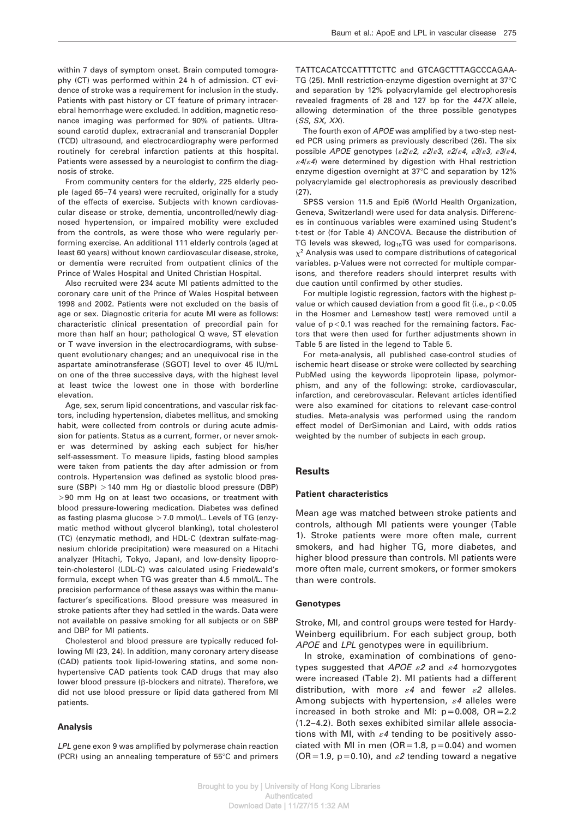within 7 days of symptom onset. Brain computed tomography (CT) was performed within 24 h of admission. CT evidence of stroke was a requirement for inclusion in the study. Patients with past history or CT feature of primary intracerebral hemorrhage were excluded. In addition, magnetic resonance imaging was performed for 90% of patients. Ultrasound carotid duplex, extracranial and transcranial Doppler (TCD) ultrasound, and electrocardiography were performed routinely for cerebral infarction patients at this hospital. Patients were assessed by a neurologist to confirm the diagnosis of stroke.

From community centers for the elderly, 225 elderly people (aged 65–74 years) were recruited, originally for a study of the effects of exercise. Subjects with known cardiovascular disease or stroke, dementia, uncontrolled/newly diagnosed hypertension, or impaired mobility were excluded from the controls, as were those who were regularly performing exercise. An additional 111 elderly controls (aged at least 60 years) without known cardiovascular disease, stroke, or dementia were recruited from outpatient clinics of the Prince of Wales Hospital and United Christian Hospital.

Also recruited were 234 acute MI patients admitted to the coronary care unit of the Prince of Wales Hospital between 1998 and 2002. Patients were not excluded on the basis of age or sex. Diagnostic criteria for acute MI were as follows: characteristic clinical presentation of precordial pain for more than half an hour; pathological Q wave, ST elevation or T wave inversion in the electrocardiograms, with subsequent evolutionary changes; and an unequivocal rise in the aspartate aminotransferase (SGOT) level to over 45 IU/mL on one of the three successive days, with the highest level at least twice the lowest one in those with borderline elevation.

Age, sex, serum lipid concentrations, and vascular risk factors, including hypertension, diabetes mellitus, and smoking habit, were collected from controls or during acute admission for patients. Status as a current, former, or never smoker was determined by asking each subject for his/her self-assessment. To measure lipids, fasting blood samples were taken from patients the day after admission or from controls. Hypertension was defined as systolic blood pressure (SBP) >140 mm Hg or diastolic blood pressure (DBP) )90 mm Hg on at least two occasions, or treatment with blood pressure-lowering medication. Diabetes was defined as fasting plasma glucose  $>7.0$  mmol/L. Levels of TG (enzymatic method without glycerol blanking), total cholesterol (TC) (enzymatic method), and HDL-C (dextran sulfate-magnesium chloride precipitation) were measured on a Hitachi analyzer (Hitachi, Tokyo, Japan), and low-density lipoprotein-cholesterol (LDL-C) was calculated using Friedewald's formula, except when TG was greater than 4.5 mmol/L. The precision performance of these assays was within the manufacturer's specifications. Blood pressure was measured in stroke patients after they had settled in the wards. Data were not available on passive smoking for all subjects or on SBP and DBP for MI patients.

Cholesterol and blood pressure are typically reduced following MI (23, 24). In addition, many coronary artery disease (CAD) patients took lipid-lowering statins, and some nonhypertensive CAD patients took CAD drugs that may also lower blood pressure (β-blockers and nitrate). Therefore, we did not use blood pressure or lipid data gathered from MI patients.

#### **Analysis**

LPL gene exon 9 was amplified by polymerase chain reaction (PCR) using an annealing temperature of  $55^{\circ}$ C and primers TATTCACATCCATTTTCTTC and GTCAGCTTTAGCCCAGAA-TG (25). MnII restriction-enzyme digestion overnight at 37°C and separation by 12% polyacrylamide gel electrophoresis revealed fragments of 28 and 127 bp for the 447X allele, allowing determination of the three possible genotypes (SS, SX, XX).

The fourth exon of APOE was amplified by a two-step nested PCR using primers as previously described (26). The six possible APOE genotypes ( $\mathcal{E}2/\mathcal{E}2$ ,  $\mathcal{E}2/\mathcal{E}3$ ,  $\mathcal{E}3/\mathcal{E}3$ ,  $\mathcal{E}3/\mathcal{E}4$ ,  $\epsilon$ 4/ $\epsilon$ 4) were determined by digestion with HhaI restriction enzyme digestion overnight at 37°C and separation by 12% polyacrylamide gel electrophoresis as previously described (27).

SPSS version 11.5 and Epi6 (World Health Organization, Geneva, Switzerland) were used for data analysis. Differences in continuous variables were examined using Student's t-test or (for Table 4) ANCOVA. Because the distribution of TG levels was skewed,  $log_{10}TG$  was used for comparisons.  $x^2$  Analysis was used to compare distributions of categorical variables. p-Values were not corrected for multiple comparisons, and therefore readers should interpret results with due caution until confirmed by other studies.

For multiple logistic regression, factors with the highest pvalue or which caused deviation from a good fit (i.e.,  $p<0.05$ in the Hosmer and Lemeshow test) were removed until a value of  $p<$  0.1 was reached for the remaining factors. Factors that were then used for further adjustments shown in Table 5 are listed in the legend to Table 5.

For meta-analysis, all published case-control studies of ischemic heart disease or stroke were collected by searching PubMed using the keywords lipoprotein lipase, polymorphism, and any of the following: stroke, cardiovascular, infarction, and cerebrovascular. Relevant articles identified were also examined for citations to relevant case-control studies. Meta-analysis was performed using the random effect model of DerSimonian and Laird, with odds ratios weighted by the number of subjects in each group.

#### **Results**

#### **Patient characteristics**

Mean age was matched between stroke patients and controls, although MI patients were younger (Table 1). Stroke patients were more often male, current smokers, and had higher TG, more diabetes, and higher blood pressure than controls. MI patients were more often male, current smokers, or former smokers than were controls.

#### **Genotypes**

Stroke, MI, and control groups were tested for Hardy-Weinberg equilibrium. For each subject group, both APOE and LPL genotypes were in equilibrium.

In stroke, examination of combinations of genotypes suggested that APOE  $\varepsilon$ 2 and  $\varepsilon$ 4 homozygotes were increased (Table 2). MI patients had a different distribution, with more  $\varepsilon$ 4 and fewer  $\varepsilon$ 2 alleles. Among subjects with hypertension,  $\varepsilon$ 4 alleles were increased in both stroke and MI:  $p=0.008$ , OR $=2.2$ (1.2–4.2). Both sexes exhibited similar allele associations with MI, with  $\varepsilon$ 4 tending to be positively associated with MI in men ( $OR=1.8$ ,  $p=0.04$ ) and women (OR=1.9, p=0.10), and  $\varepsilon$ 2 tending toward a negative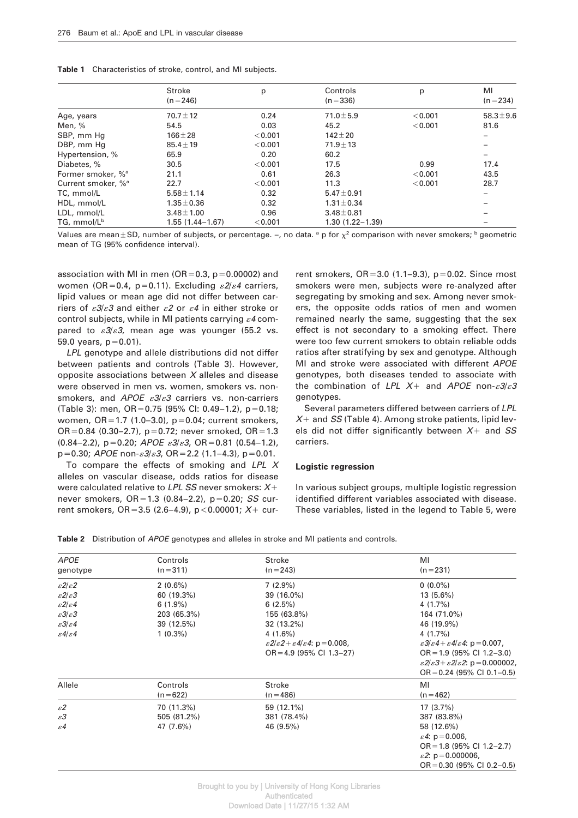|                                | Stroke              | p       | Controls            | p       | MI                       |
|--------------------------------|---------------------|---------|---------------------|---------|--------------------------|
|                                | $(n=246)$           |         | $(n=336)$           |         | $(n=234)$                |
| Age, years                     | $70.7 \pm 12$       | 0.24    | $71.0 \pm 5.9$      | < 0.001 | $58.3 \pm 9.6$           |
| Men, %                         | 54.5                | 0.03    | 45.2                | < 0.001 | 81.6                     |
| SBP, mm Hg                     | $166 \pm 28$        | < 0.001 | $142 \pm 20$        |         | $\overline{\phantom{0}}$ |
| DBP, mm Hg                     | $85.4 \pm 19$       | < 0.001 | $71.9 \pm 13$       |         |                          |
| Hypertension, %                | 65.9                | 0.20    | 60.2                |         | $\overline{\phantom{0}}$ |
| Diabetes, %                    | 30.5                | < 0.001 | 17.5                | 0.99    | 17.4                     |
| Former smoker, % <sup>a</sup>  | 21.1                | 0.61    | 26.3                | < 0.001 | 43.5                     |
| Current smoker, % <sup>a</sup> | 22.7                | < 0.001 | 11.3                | < 0.001 | 28.7                     |
| TC, mmol/L                     | $5.58 \pm 1.14$     | 0.32    | $5.47 \pm 0.91$     |         | -                        |
| HDL, mmol/L                    | $1.35 \pm 0.36$     | 0.32    | $1.31 \pm 0.34$     |         |                          |
| LDL, mmol/L                    | $3.48 \pm 1.00$     | 0.96    | $3.48 \pm 0.81$     |         |                          |
| TG, mmol/L <sup>b</sup>        | $1.55(1.44 - 1.67)$ | < 0.001 | $1.30(1.22 - 1.39)$ |         |                          |

Values are mean  $\pm$  SD, number of subjects, or percentage.  $-$ , no data. <sup>a</sup> p for  $\chi^2$  comparison with never smokers; <sup>b</sup> geometric mean of TG (95% confidence interval).

association with MI in men (OR=0.3,  $p=0.00002$ ) and women (OR=0.4, p=0.11). Excluding  $\varepsilon 2/\varepsilon 4$  carriers, lipid values or mean age did not differ between carriers of  $\epsilon 3/\epsilon 3$  and either  $\epsilon 2$  or  $\epsilon 4$  in either stroke or control subjects, while in MI patients carrying  $\varepsilon$ 4 compared to  $\epsilon 3/\epsilon 3$ , mean age was younger (55.2 vs. 59.0 years,  $p = 0.01$ ).

LPL genotype and allele distributions did not differ between patients and controls (Table 3). However, opposite associations between  $X$  alleles and disease were observed in men vs. women, smokers vs. nonsmokers, and APOE  $\varepsilon 3/\varepsilon 3$  carriers vs. non-carriers (Table 3): men,  $OR = 0.75$  (95% CI: 0.49–1.2), p=0.18; women,  $OR = 1.7$  (1.0–3.0),  $p = 0.04$ ; current smokers, OR=0.84 (0.30–2.7),  $p=0.72$ ; never smoked, OR=1.3  $(0.84-2.2)$ , p=0.20; APOE  $\varepsilon3/\varepsilon3$ , OR=0.81 (0.54–1.2),  $p=0.30$ ; APOE non- $\mathcal{E}3/\mathcal{E}3$ , OR=2.2 (1.1–4.3), p=0.01.

To compare the effects of smoking and  $LPL$   $X$ alleles on vascular disease, odds ratios for disease were calculated relative to LPL SS never smokers:  $X+$ never smokers,  $OR = 1.3$  (0.84–2.2),  $p = 0.20$ ; SS current smokers, OR=3.5 (2.6–4.9), p < 0.00001;  $X$ + current smokers,  $OR = 3.0$  (1.1–9.3),  $p = 0.02$ . Since most smokers were men, subjects were re-analyzed after segregating by smoking and sex. Among never smokers, the opposite odds ratios of men and women remained nearly the same, suggesting that the sex effect is not secondary to a smoking effect. There were too few current smokers to obtain reliable odds ratios after stratifying by sex and genotype. Although MI and stroke were associated with different APOE genotypes, both diseases tended to associate with the combination of LPL  $X+$  and APOE non- $\varepsilon 3/\varepsilon 3$ genotypes.

Several parameters differed between carriers of LPL  $X+$  and SS (Table 4). Among stroke patients, lipid levels did not differ significantly between  $X+$  and SS carriers.

## **Logistic regression**

In various subject groups, multiple logistic regression identified different variables associated with disease. These variables, listed in the legend to Table 5, were

**Table 2** Distribution of APOE genotypes and alleles in stroke and MI patients and controls.

| <b>APOE</b>                           | Controls    | Stroke                                                     | MI                                                                                          |
|---------------------------------------|-------------|------------------------------------------------------------|---------------------------------------------------------------------------------------------|
| genotype                              | $(n=311)$   | $(n=243)$                                                  | $(n=231)$                                                                                   |
| $\frac{\varepsilon}{2}\varepsilon$    | $2(0.6\%)$  | $7(2.9\%)$                                                 | $0(0.0\%)$                                                                                  |
| $\mathcal{E}2/\mathcal{E}3$           | 60 (19.3%)  | 39 (16.0%)                                                 | $13(5.6\%)$                                                                                 |
| $\frac{\varepsilon}{2/\varepsilon}$ 4 | $6(1.9\%)$  | 6(2.5%)                                                    | 4(1.7%)                                                                                     |
| $\mathcal{E}3/\mathcal{E}3$           | 203 (65.3%) | 155 (63.8%)                                                | 164 (71.0%)                                                                                 |
| $\mathcal{E}3/\mathcal{E}4$           | 39 (12.5%)  | 32 (13.2%)                                                 | 46 (19.9%)                                                                                  |
| $\mathcal{E}4/\mathcal{E}4$           | $1(0.3\%)$  | $4(1.6\%)$                                                 | 4(1.7%)                                                                                     |
|                                       |             | $\epsilon 2/\epsilon 2 + \epsilon 4/\epsilon 4$ : p=0.008, | $\epsilon 3/\epsilon 4 + \epsilon 4/\epsilon 4$ : p=0.007,                                  |
|                                       |             | $OR = 4.9$ (95% CI 1.3-27)                                 | $OR = 1.9$ (95% CI 1.2-3.0)                                                                 |
|                                       |             |                                                            | $\frac{\varepsilon 2}{\varepsilon 3}$ + $\frac{\varepsilon 2}{\varepsilon 2}$ : p=0.000002, |
|                                       |             |                                                            | $OR = 0.24$ (95% CI 0.1-0.5)                                                                |
| Allele                                | Controls    | Stroke                                                     | MI                                                                                          |
|                                       | $(n=622)$   | $(n = 486)$                                                | $(n=462)$                                                                                   |
| $\varepsilon$ 2                       | 70 (11.3%)  | 59 (12.1%)                                                 | $17(3.7\%)$                                                                                 |
| $\varepsilon$ 3                       | 505 (81.2%) | 381 (78.4%)                                                | 387 (83.8%)                                                                                 |
| $\varepsilon$ 4                       | 47 (7.6%)   | 46 (9.5%)                                                  | 58 (12.6%)                                                                                  |
|                                       |             |                                                            | $\varepsilon$ 4: p = 0.006,                                                                 |
|                                       |             |                                                            | $OR = 1.8$ (95% CI 1.2-2.7)                                                                 |
|                                       |             |                                                            | $\mathscr{E}2$ : p = 0.000006,                                                              |
|                                       |             |                                                            | $OR = 0.30$ (95% CI 0.2-0.5)                                                                |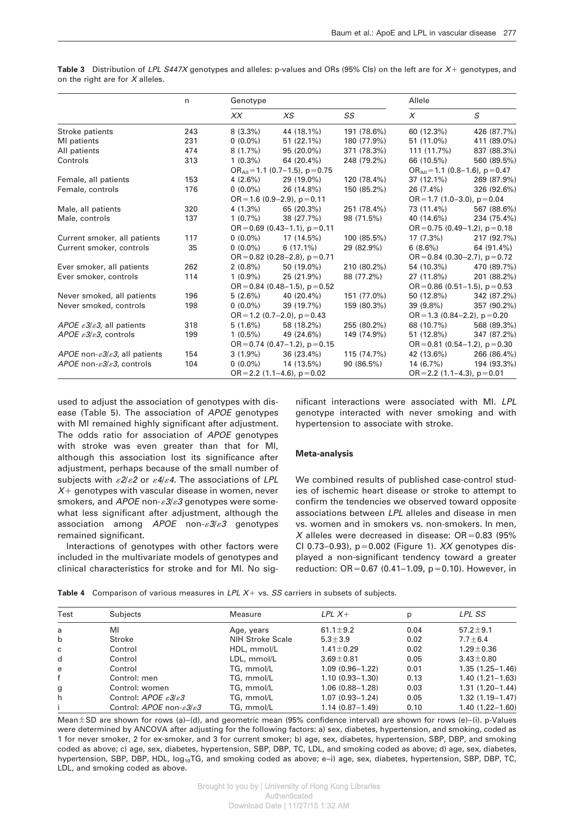|                                                          | n   | Genotype                           |                                         |             | Allele                              |                                         |  |
|----------------------------------------------------------|-----|------------------------------------|-----------------------------------------|-------------|-------------------------------------|-----------------------------------------|--|
|                                                          |     | XX                                 | X <sub>S</sub>                          | SS          | $\chi$                              | S                                       |  |
| Stroke patients                                          | 243 | $8(3.3\%)$                         | 44 (18.1%)                              | 191 (78.6%) | 60 (12.3%)                          | 426 (87.7%)                             |  |
| MI patients                                              | 231 | $0(0.0\%)$                         | $51(22.1\%)$                            | 180 (77.9%) | 51 (11.0%)                          | 411 (89.0%)                             |  |
| All patients                                             | 474 | 8(1.7%)                            | 95 (20.0%)                              | 371 (78.3%) | 111 (11.7%)                         | 837 (88.3%)                             |  |
| Controls                                                 | 313 | $1(0.3\%)$                         | 64 (20.4%)                              | 248 (79.2%) | 66 (10.5%)                          | 560 (89.5%)                             |  |
|                                                          |     |                                    | $OR_{all} = 1.1 (0.7 - 1.5)$ , p = 0.75 |             |                                     | $OR_{all} = 1.1 (0.8 - 1.6)$ , p = 0.47 |  |
| Female, all patients                                     | 153 | $4(2.6\%)$                         | 29 (19.0%)                              | 120 (78.4%) | $37(12.1\%)$                        | 269 (87.9%)                             |  |
| Female, controls                                         | 176 | $0(0.0\%)$                         | 26 (14.8%)                              | 150 (85.2%) | $26(7.4\%)$                         | 326 (92.6%)                             |  |
|                                                          |     |                                    | $OR = 1.6 (0.9 - 2.9)$ , $p = 0.11$     |             |                                     | $OR = 1.7 (1.0 - 3.0), p = 0.04$        |  |
| Male, all patients                                       | 320 | $4(1.3\%)$                         | 65 (20.3%)                              | 251 (78.4%) | 73 (11.4%)                          | 567 (88.6%)                             |  |
| Male, controls                                           | 137 | $1(0.7\%)$                         | 38 (27.7%)                              | 98 (71.5%)  | 40 (14.6%)                          | 234 (75.4%)                             |  |
|                                                          |     | $OR = 0.69$ (0.43-1.1), $p = 0.11$ |                                         |             | $OR = 0.75 (0.49 - 1.2)$ , p = 0.18 |                                         |  |
| Current smoker, all patients                             | 117 | $0(0.0\%)$                         | 17 (14.5%)                              | 100 (85.5%) | 17(7.3%)                            | 217 (92.7%)                             |  |
| Current smoker, controls                                 | 35  | $0(0.0\%)$                         | $6(17.1\%)$                             | 29 (82.9%)  | $6(8.6\%)$                          | 64 (91.4%)                              |  |
|                                                          |     |                                    | $OR = 0.82$ (0.28–2.8), $p = 0.71$      |             |                                     | $OR = 0.84$ (0.30-2.7), $p = 0.72$      |  |
| Ever smoker, all patients                                | 262 | $2(0.8\%)$                         | 50 (19.0%)                              | 210 (80.2%) | 54 (10.3%)                          | 470 (89.7%)                             |  |
| Ever smoker, controls                                    | 114 | $1(0.9\%)$                         | 25 (21.9%)                              | 88 (77.2%)  | 27 (11.8%)                          | 201 (88.2%)                             |  |
|                                                          |     |                                    | $OR = 0.84$ (0.48-1.5), $p = 0.52$      |             | OR = $0.86$ (0.51-1.5), p = 0.53    |                                         |  |
| Never smoked, all patients                               | 196 | 5(2.6%)                            | 40 (20.4%)                              | 151 (77.0%) | 50 (12.8%)                          | 342 (87.2%)                             |  |
| Never smoked, controls                                   | 198 | $0(0.0\%)$                         | 39 (19.7%)                              | 159 (80.3%) | $39(9.8\%)$                         | 357 (90.2%)                             |  |
|                                                          |     |                                    | $OR = 1.2$ (0.7–2.0), $p = 0.43$        |             | $OR = 1.3 (0.84 - 2.2), p = 0.20$   |                                         |  |
| APOE $\varepsilon$ 3/ $\varepsilon$ 3, all patients      | 318 | $5(1.6\%)$                         | 58 (18.2%)                              | 255 (80.2%) | 68 (10.7%)                          | 568 (89.3%)                             |  |
| APOE $\mathcal{E}3/\mathcal{E}3$ , controls              | 199 | $1(0.5\%)$                         | 49 (24.6%)                              | 149 (74.9%) | 51 (12.8%)                          | 347 (87.2%)                             |  |
|                                                          |     | $OR = 0.74$ (0.47-1.2), $p = 0.15$ |                                         |             | $OR = 0.81 (0.54 - 1.2), p = 0.30$  |                                         |  |
| APOE non- $\varepsilon$ 3/ $\varepsilon$ 3, all patients | 154 | $3(1.9\%)$                         | $36(23.4\%)$                            | 115 (74.7%) | 42 (13.6%)                          | 266 (86.4%)                             |  |
| APOE non- $\varepsilon$ 3/ $\varepsilon$ 3, controls     | 104 | $0(0.0\%)$                         | 14 (13.5%)                              | 90 (86.5%)  | $14(6.7\%)$                         | 194 (93.3%)                             |  |
|                                                          |     | $OR = 2.2$ (1.1–4.6), $p = 0.02$   |                                         |             | $OR = 2.2$ (1.1–4.3), $p = 0.01$    |                                         |  |

Table 3 Distribution of LPL S447X genotypes and alleles: p-values and ORs (95% Cls) on the left are for X+ genotypes, and on the right are for  $X$  alleles.

used to adjust the association of genotypes with disease (Table 5). The association of APOE genotypes with MI remained highly significant after adjustment. The odds ratio for association of APOE genotypes with stroke was even greater than that for MI, although this association lost its significance after adjustment, perhaps because of the small number of subjects with  $\epsilon 2/\epsilon 2$  or  $\epsilon 4/\epsilon 4$ . The associations of LPL  $X_{+}$  genotypes with vascular disease in women, never smokers, and APOE non- $\varepsilon 3/\varepsilon 3$  genotypes were somewhat less significant after adjustment, although the association among  $APOE$  non- $\epsilon 3/\epsilon 3$  genotypes remained significant.

Interactions of genotypes with other factors were included in the multivariate models of genotypes and clinical characteristics for stroke and for MI. No significant interactions were associated with MI. LPL genotype interacted with never smoking and with hypertension to associate with stroke.

#### **Meta-analysis**

We combined results of published case-control studies of ischemic heart disease or stroke to attempt to confirm the tendencies we observed toward opposite associations between LPL alleles and disease in men vs. women and in smokers vs. non-smokers. In men, X alleles were decreased in disease:  $OR = 0.83$  (95%) CI 0.73-0.93),  $p=0.002$  (Figure 1). XX genotypes displayed a non-significant tendency toward a greater reduction:  $OR = 0.67$  (0.41–1.09, p=0.10). However, in

|  | <b>Table 4</b> Comparison of various measures in LPL $X+$ vs. SS carriers in subsets of subjects. |  |  |  |  |  |  |  |
|--|---------------------------------------------------------------------------------------------------|--|--|--|--|--|--|--|
|--|---------------------------------------------------------------------------------------------------|--|--|--|--|--|--|--|

| Test         | Subjects                                            | Measure          | $LPLX+$             | p    | LPL SS              |
|--------------|-----------------------------------------------------|------------------|---------------------|------|---------------------|
| a            | MI                                                  | Age, years       | 61.1 $\pm$ 9.2      | 0.04 | $57.2 \pm 9.1$      |
| $\mathsf{b}$ | Stroke                                              | NIH Stroke Scale | $5.3 \pm 3.9$       | 0.02 | $7.7 \pm 6.4$       |
| c            | Control                                             | HDL, mmol/L      | $1.41 \pm 0.29$     | 0.02 | $1.29 + 0.36$       |
| d            | Control                                             | LDL, mmol/L      | $3.69 \pm 0.81$     | 0.05 | $3.43 \pm 0.80$     |
| e            | Control                                             | TG, mmol/L       | $1.09(0.96 - 1.22)$ | 0.01 | $1.35(1.25 - 1.46)$ |
| f            | Control: men                                        | TG, mmol/L       | $1.10(0.93 - 1.30)$ | 0.13 | $1.40(1.21 - 1.63)$ |
| g            | Control: women                                      | TG, mmol/L       | $1.06(0.88 - 1.28)$ | 0.03 | $1.31(1.20 - 1.44)$ |
| h            | Control: APOE $\epsilon$ 3/ $\epsilon$ 3            | TG, mmol/L       | $1.07(0.93 - 1.24)$ | 0.05 | $1.32(1.19 - 1.47)$ |
|              | Control: APOE non- $\varepsilon$ 3/ $\varepsilon$ 3 | TG, mmol/L       | $1.14(0.87 - 1.49)$ | 0.10 | $1.40(1.22 - 1.60)$ |

Mean $\pm$ SD are shown for rows (a)–(d), and geometric mean (95% confidence interval) are shown for rows (e)–(i). p-Values were determined by ANCOVA after adjusting for the following factors: a) sex, diabetes, hypertension, and smoking, coded as 1 for never smoker, 2 for ex-smoker, and 3 for current smoker; b) age, sex, diabetes, hypertension, SBP, DBP, and smoking coded as above; c) age, sex, diabetes, hypertension, SBP, DBP, TC, LDL, and smoking coded as above; d) age, sex, diabetes, hypertension, SBP, DBP, HDL, log<sub>10</sub>TG, and smoking coded as above; e-i) age, sex, diabetes, hypertension, SBP, DBP, TC, LDL, and smoking coded as above.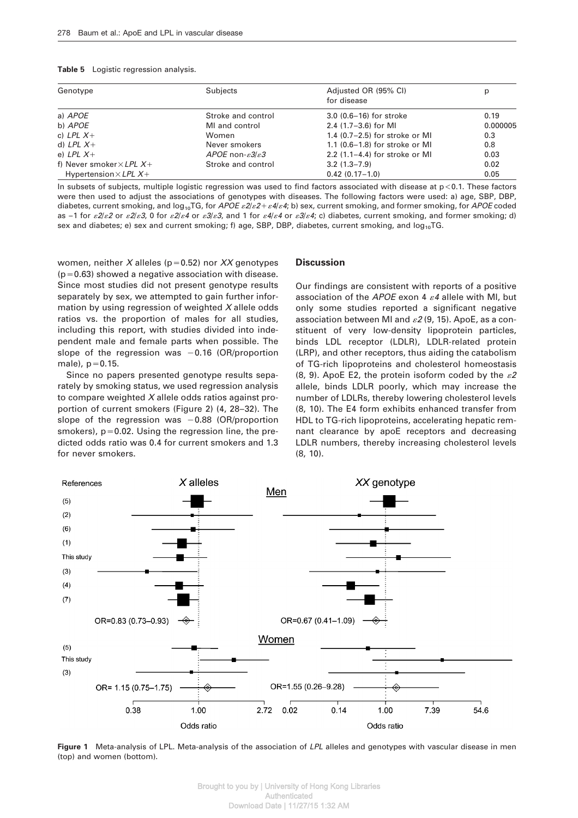| Table 5 | Logistic regression analysis. |  |
|---------|-------------------------------|--|

| Genotype                          | Subjects                                   | Adjusted OR (95% CI)<br>for disease | р        |
|-----------------------------------|--------------------------------------------|-------------------------------------|----------|
| a) APOE                           | Stroke and control                         | $3.0$ (0.6-16) for stroke           | 0.19     |
| b) APOE                           | MI and control                             | 2.4 $(1.7-3.6)$ for MI              | 0.000005 |
| c) LPL $X+$                       | Women                                      | 1.4 $(0.7-2.5)$ for stroke or MI    | 0.3      |
| d) LPL $X+$                       | Never smokers                              | 1.1 (0.6-1.8) for stroke or MI      | 0.8      |
| e) LPL $X+$                       | APOE non- $\varepsilon$ 3/ $\varepsilon$ 3 | 2.2 $(1.1-4.4)$ for stroke or MI    | 0.03     |
| f) Never smoker $\times$ LPL $X+$ | Stroke and control                         | $3.2(1.3 - 7.9)$                    | 0.02     |
| Hypertension $\times$ LPL $X+$    |                                            | $0.42(0.17-1.0)$                    | 0.05     |

In subsets of subjects, multiple logistic regression was used to find factors associated with disease at  $p<0.1$ . These factors were then used to adjust the associations of genotypes with diseases. The following factors were used: a) age, SBP, DBP, diabetes, current smoking, and  $log_{10}TG$ , for APOE  $\epsilon 2/\epsilon 2+\epsilon 4/\epsilon 4$ ; b) sex, current smoking, and former smoking, for APOE coded as -1 for  $\epsilon 2/\epsilon 2$  or  $\epsilon 2/\epsilon 3$ , 0 for  $\epsilon 2/\epsilon 4$  or  $\epsilon 3/\epsilon 3$ , and 1 for  $\epsilon 4/\epsilon 4$  or  $\epsilon 3/\epsilon 4$ ; c) diabetes, current smoking, and former smoking; d) sex and diabetes; e) sex and current smoking; f) age, SBP, DBP, diabetes, current smoking, and  $log_{10}TG$ .

women, neither X alleles (p=0.52) nor XX genotypes  $(p=0.63)$  showed a negative association with disease. Since most studies did not present genotype results separately by sex, we attempted to gain further information by using regression of weighted  $X$  allele odds ratios vs. the proportion of males for all studies, including this report, with studies divided into independent male and female parts when possible. The slope of the regression was  $-0.16$  (OR/proportion male),  $p = 0.15$ .

Since no papers presented genotype results separately by smoking status, we used regression analysis to compare weighted  $X$  allele odds ratios against proportion of current smokers (Figure 2) (4, 28–32). The slope of the regression was  $-0.88$  (OR/proportion smokers),  $p=0.02$ . Using the regression line, the predicted odds ratio was 0.4 for current smokers and 1.3 for never smokers.

## **Discussion**

Our findings are consistent with reports of a positive association of the APOE exon 4  $\varepsilon$ 4 allele with MI, but only some studies reported a significant negative association between MI and  $\varepsilon$ 2 (9, 15). ApoE, as a constituent of very low-density lipoprotein particles, binds LDL receptor (LDLR), LDLR-related protein (LRP), and other receptors, thus aiding the catabolism of TG-rich lipoproteins and cholesterol homeostasis (8, 9). ApoE E2, the protein isoform coded by the  $\varepsilon$ 2 allele, binds LDLR poorly, which may increase the number of LDLRs, thereby lowering cholesterol levels (8, 10). The E4 form exhibits enhanced transfer from HDL to TG-rich lipoproteins, accelerating hepatic remnant clearance by apoE receptors and decreasing LDLR numbers, thereby increasing cholesterol levels (8, 10).



**Figure 1** Meta-analysis of LPL. Meta-analysis of the association of LPL alleles and genotypes with vascular disease in men (top) and women (bottom).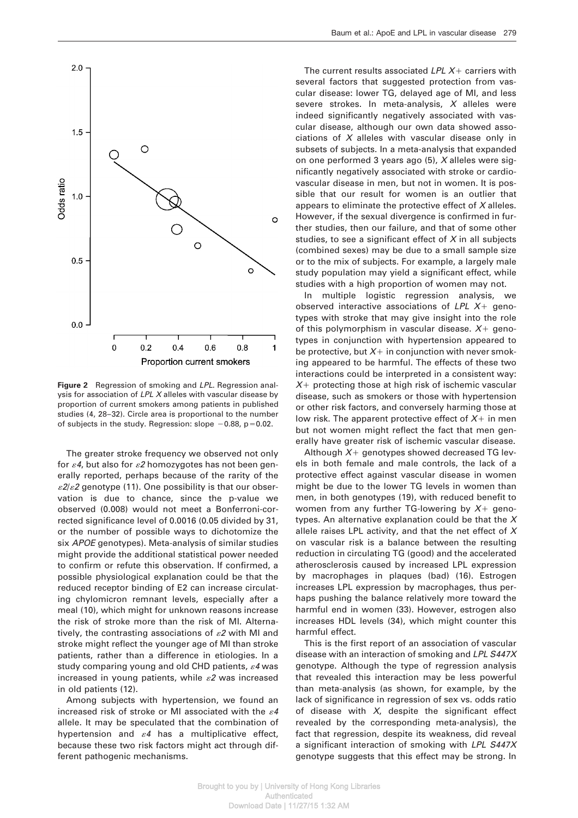

**Figure 2** Regression of smoking and LPL. Regression analysis for association of  $LPL$  X alleles with vascular disease by proportion of current smokers among patients in published studies (4, 28–32). Circle area is proportional to the number of subjects in the study. Regression: slope  $-0.88$ , p=0.02.

The greater stroke frequency we observed not only for  $\varepsilon$ 4, but also for  $\varepsilon$ 2 homozygotes has not been generally reported, perhaps because of the rarity of the  $\frac{\varepsilon^2}{\varepsilon^2}$  genotype (11). One possibility is that our observation is due to chance, since the p-value we observed (0.008) would not meet a Bonferroni-corrected significance level of 0.0016 (0.05 divided by 31, or the number of possible ways to dichotomize the six APOE genotypes). Meta-analysis of similar studies might provide the additional statistical power needed to confirm or refute this observation. If confirmed, a possible physiological explanation could be that the reduced receptor binding of E2 can increase circulating chylomicron remnant levels, especially after a meal (10), which might for unknown reasons increase the risk of stroke more than the risk of MI. Alternatively, the contrasting associations of  $\varepsilon$ 2 with MI and stroke might reflect the younger age of MI than stroke patients, rather than a difference in etiologies. In a study comparing young and old CHD patients,  $\varepsilon$ 4 was increased in young patients, while  $\varepsilon$ 2 was increased in old patients (12).

Among subjects with hypertension, we found an increased risk of stroke or MI associated with the  $\varepsilon$ 4 allele. It may be speculated that the combination of hypertension and  $\varepsilon$ 4 has a multiplicative effect, because these two risk factors might act through different pathogenic mechanisms.

The current results associated  $LPL X+$  carriers with several factors that suggested protection from vascular disease: lower TG, delayed age of MI, and less severe strokes. In meta-analysis,  $X$  alleles were indeed significantly negatively associated with vascular disease, although our own data showed associations of  $X$  alleles with vascular disease only in subsets of subjects. In a meta-analysis that expanded on one performed 3 years ago (5), X alleles were significantly negatively associated with stroke or cardiovascular disease in men, but not in women. It is possible that our result for women is an outlier that appears to eliminate the protective effect of  $X$  alleles. However, if the sexual divergence is confirmed in further studies, then our failure, and that of some other studies, to see a significant effect of  $X$  in all subjects (combined sexes) may be due to a small sample size or to the mix of subjects. For example, a largely male study population may yield a significant effect, while studies with a high proportion of women may not.

In multiple logistic regression analysis, we observed interactive associations of LPL  $X+$  genotypes with stroke that may give insight into the role of this polymorphism in vascular disease.  $X+$  genotypes in conjunction with hypertension appeared to be protective, but  $X+$  in conjunction with never smoking appeared to be harmful. The effects of these two interactions could be interpreted in a consistent way:  $X+$  protecting those at high risk of ischemic vascular disease, such as smokers or those with hypertension or other risk factors, and conversely harming those at low risk. The apparent protective effect of  $X+$  in men but not women might reflect the fact that men generally have greater risk of ischemic vascular disease.

Although  $X+$  genotypes showed decreased TG levels in both female and male controls, the lack of a protective effect against vascular disease in women might be due to the lower TG levels in women than men, in both genotypes (19), with reduced benefit to women from any further TG-lowering by  $X+$  genotypes. An alternative explanation could be that the  $X$ allele raises LPL activity, and that the net effect of  $X$ on vascular risk is a balance between the resulting reduction in circulating TG (good) and the accelerated atherosclerosis caused by increased LPL expression by macrophages in plaques (bad) (16). Estrogen increases LPL expression by macrophages, thus perhaps pushing the balance relatively more toward the harmful end in women (33). However, estrogen also increases HDL levels (34), which might counter this harmful effect.

This is the first report of an association of vascular disease with an interaction of smoking and LPL S447X genotype. Although the type of regression analysis that revealed this interaction may be less powerful than meta-analysis (as shown, for example, by the lack of significance in regression of sex vs. odds ratio of disease with  $X<sub>i</sub>$  despite the significant effect revealed by the corresponding meta-analysis), the fact that regression, despite its weakness, did reveal a significant interaction of smoking with LPL S447X genotype suggests that this effect may be strong. In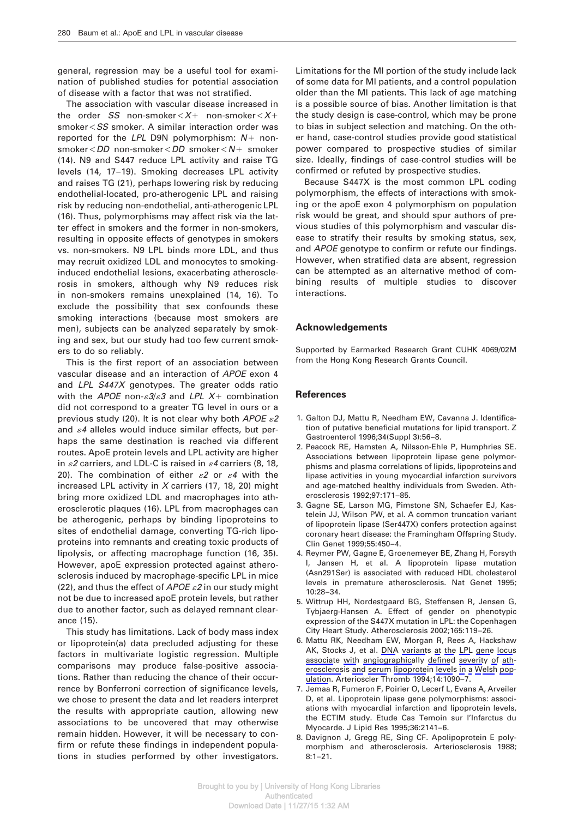general, regression may be a useful tool for examination of published studies for potential association of disease with a factor that was not stratified.

The association with vascular disease increased in the order SS non-smoker $\lt X$ + non-smoker $\lt X$ +  $smoker < S$ S smoker. A similar interaction order was reported for the LPL D9N polymorphism:  $N+$  non $smoker<$  DD non-smoker $<$  DD smoker $<$  N+ smoker (14). N9 and S447 reduce LPL activity and raise TG levels (14, 17–19). Smoking decreases LPL activity and raises TG (21), perhaps lowering risk by reducing endothelial-located, pro-atherogenic LPL and raising risk by reducing non-endothelial, anti-atherogenic LPL (16). Thus, polymorphisms may affect risk via the latter effect in smokers and the former in non-smokers, resulting in opposite effects of genotypes in smokers vs. non-smokers. N9 LPL binds more LDL, and thus may recruit oxidized LDL and monocytes to smokinginduced endothelial lesions, exacerbating atherosclerosis in smokers, although why N9 reduces risk in non-smokers remains unexplained (14, 16). To exclude the possibility that sex confounds these smoking interactions (because most smokers are men), subjects can be analyzed separately by smoking and sex, but our study had too few current smokers to do so reliably.

This is the first report of an association between vascular disease and an interaction of APOE exon 4 and LPL S447X genotypes. The greater odds ratio with the APOE non- $\epsilon 3/\epsilon 3$  and LPL X+ combination did not correspond to a greater TG level in ours or a previous study (20). It is not clear why both APOE  $\varepsilon$ 2 and  $\varepsilon$ 4 alleles would induce similar effects, but perhaps the same destination is reached via different routes. ApoE protein levels and LPL activity are higher in  $\mathscr E$  carriers, and LDL-C is raised in  $\mathscr E$  carriers (8, 18, 20). The combination of either  $\varepsilon$ 2 or  $\varepsilon$ 4 with the increased LPL activity in  $X$  carriers (17, 18, 20) might bring more oxidized LDL and macrophages into atherosclerotic plaques (16). LPL from macrophages can be atherogenic, perhaps by binding lipoproteins to sites of endothelial damage, converting TG-rich lipoproteins into remnants and creating toxic products of lipolysis, or affecting macrophage function (16, 35). However, apoE expression protected against atherosclerosis induced by macrophage-specific LPL in mice (22), and thus the effect of APOE  $\varepsilon$ 2 in our study might not be due to increased apoE protein levels, but rather due to another factor, such as delayed remnant clearance (15).

This study has limitations. Lack of body mass index or lipoprotein(a) data precluded adjusting for these factors in multivariate logistic regression. Multiple comparisons may produce false-positive associations. Rather than reducing the chance of their occurrence by Bonferroni correction of significance levels, we chose to present the data and let readers interpret the results with appropriate caution, allowing new associations to be uncovered that may otherwise remain hidden. However, it will be necessary to confirm or refute these findings in independent populations in studies performed by other investigators.

Limitations for the MI portion of the study include lack of some data for MI patients, and a control population older than the MI patients. This lack of age matching is a possible source of bias. Another limitation is that the study design is case-control, which may be prone to bias in subject selection and matching. On the other hand, case-control studies provide good statistical power compared to prospective studies of similar size. Ideally, findings of case-control studies will be confirmed or refuted by prospective studies.

Because S447X is the most common LPL coding polymorphism, the effects of interactions with smoking or the apoE exon 4 polymorphism on population risk would be great, and should spur authors of previous studies of this polymorphism and vascular disease to stratify their results by smoking status, sex, and APOE genotype to confirm or refute our findings. However, when stratified data are absent, regression can be attempted as an alternative method of combining results of multiple studies to discover interactions.

### **Acknowledgements**

Supported by Earmarked Research Grant CUHK 4069/02M from the Hong Kong Research Grants Council.

#### **References**

- 1. Galton DJ, Mattu R, Needham EW, Cavanna J. Identification of putative beneficial mutations for lipid transport. Z Gastroenterol 1996;34(Suppl 3):56–8.
- 2. Peacock RE, Hamsten A, Nilsson-Ehle P, Humphries SE. Associations between lipoprotein lipase gene polymorphisms and plasma correlations of lipids, lipoproteins and lipase activities in young myocardial infarction survivors and age-matched healthy individuals from Sweden. Atherosclerosis 1992;97:171–85.
- 3. Gagne SE, Larson MG, Pimstone SN, Schaefer EJ, Kastelein JJ, Wilson PW, et al. A common truncation variant of lipoprotein lipase (Ser447X) confers protection against coronary heart disease: the Framingham Offspring Study. Clin Genet 1999;55:450–4.
- 4. Reymer PW, Gagne E, Groenemeyer BE, Zhang H, Forsyth I, Jansen H, et al. A lipoprotein lipase mutation (Asn291Ser) is associated with reduced HDL cholesterol levels in premature atherosclerosis. Nat Genet 1995; 10:28–34.
- 5. Wittrup HH, Nordestgaard BG, Steffensen R, Jensen G, Tybjaerg-Hansen A. Effect of gender on phenotypic expression of the S447X mutation in LPL: the Copenhagen City Heart Study. Atherosclerosis 2002;165:119–26.
- 6. Mattu RK, Needham EW, Morgan R, Rees A, Hackshaw AK, Stocks J, et al. DNA variants at the LPL gene locus associate with angiographically defined severity of atherosclerosis and serum lipoprotein levels in a Welsh population. Arterioscler Thromb 1994;14:1090–7.
- 7. Jemaa R, Fumeron F, Poirier O, Lecerf L, Evans A, Arveiler D, et al. Lipoprotein lipase gene polymorphisms: associations with myocardial infarction and lipoprotein levels, the ECTIM study. Etude Cas Temoin sur l'Infarctus du Myocarde. J Lipid Res 1995;36:2141–6.
- 8. Davignon J, Gregg RE, Sing CF. Apolipoprotein E polymorphism and atherosclerosis. Arteriosclerosis 1988; 8:1–21.